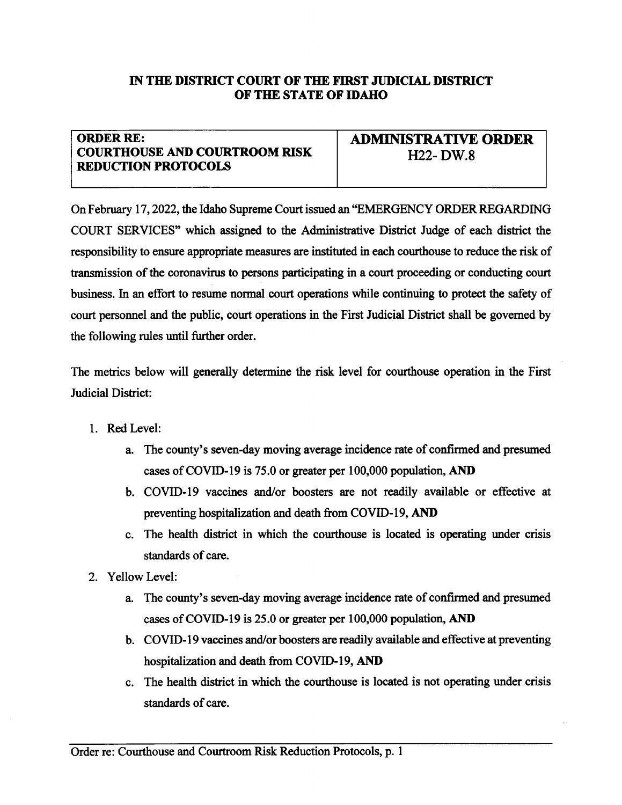## IN THE DISTRICT COURT OF THE FIRST JUDICIAL DISTRICT OF THE STATE OF IDAHO

## ORDER RE: **COURTHOUSE AND COURTROOM RISK** REDUCTION PROTOCOLS

ADMIMSTRATTVE ORDER  $H22$ - DW.8

On February 17, 2022, the Idaho Supreme Court issued an "EMERGENCY ORDER REGARDING" COURT SERVICES" which assigned to the Administative District Judge of each distict the responsibility to ensue appropriate measures are instituted in each courthouse to reduce the risk of transmission of the coronavirus to persons participating in a court proceeding or conducting court business. In an effort to resume normal court operations while continuing to protect the safety of court personnel and the public, court operations in the First Judicial District shall be governed by the following rules until firther order.

The metics below will generally determine the risk level for courthouse operation in the First Judicial District:

- l. Red Level:
	- a. The county's seven-day moving average incidence rate of confirmed and presurned cases of COVID-19 is  $75.0$  or greater per  $100,000$  population, AND
	- b. COVID-l9 vaccines and/or boosters are not readily available or effective at preventing hospitalization and death from COVID-19, AND
	- c. The health distict in which the courthouse is located is operating under crisis standards of care.
- 2. Yellow Level:
	- a. The county's seven-day moving average incidence rate of confirmed and presumed cases of COVID-19 is 25.0 or greater per 100,000 population, AND
	- b. COVID-I9 vaccines and/or boosters are readily available and effective at preventing hospitalization and death from COVID-19, AND
	- c. The health district in which the courthouse is located is not operating under crisis standards of care.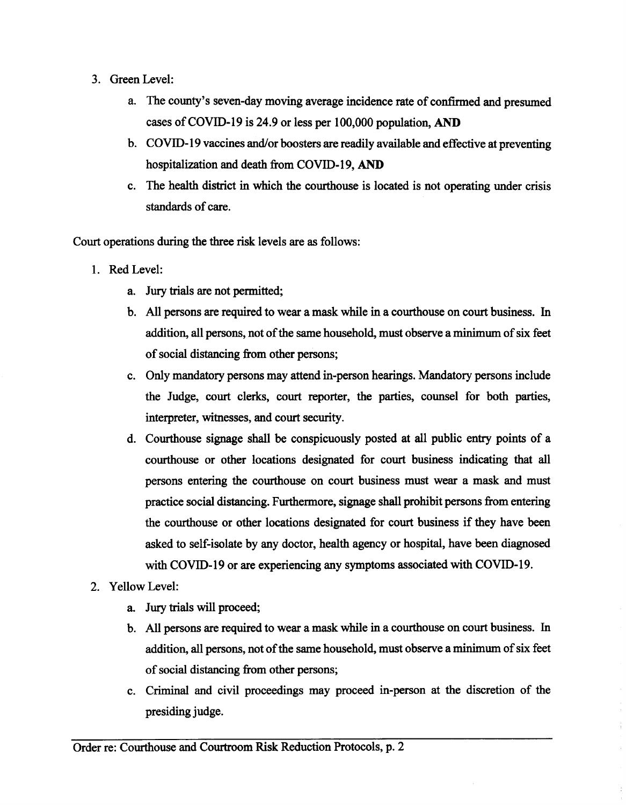- 3. Green Level:
	- a. The county's seven-day moving average incidence rate of confimred and presumed cases of COVID-19 is 24.9 or less per  $100,000$  population, AND
	- b. COVID-I9 vaccines and/or boosters are readily available and effective at preventing hospitalization and death from COVID-19, AND
	- c. The health district in which the courthouse is located is not operating under crisis standards of care.

Court operations during the three risk levels are as follows:

- l. Red Level:
	- a. Jury trials are not permitted;
	- b. All persons are required to wear a mask while in a courthouse on court business. In addition, all persons, not of the same household, must observe a minimum of six feet of social distancing from other persons;
	- c. Only mandatory persons may attend in-person hearings. Mandatory persons include the Judge, court clerks, court reporter, the parties, counsel for both parties, interpreter, witnesses, and court security.
	- d. Courthouse signage shall be conspicuously posted at all public entry points of <sup>a</sup> courthouse or other locations designated for court business indicating that all persons entering the courthouse on court business must wear a mask and must practice social distancing. Furthermore, signage shall prohibit persons from entering the courthouse or other locations designated for court business if they have been asked to self-isolate by any doctor, health agency or hospital, have been diagnosed with COVID-I9 or are experiencing any symptoms associated with COVID-I9.
- 2. Yellow Level:
	- a. Jury trials will proceed;
	- b. All persons are required to wear a mask while in a courthouse on court business. In addition, all persons, not of the same household, must observe a minimum of six feet of social distancing from other persons;
	- c. Criminal and civil proceedings may proceed in-person at the discretion of the presiding judge.